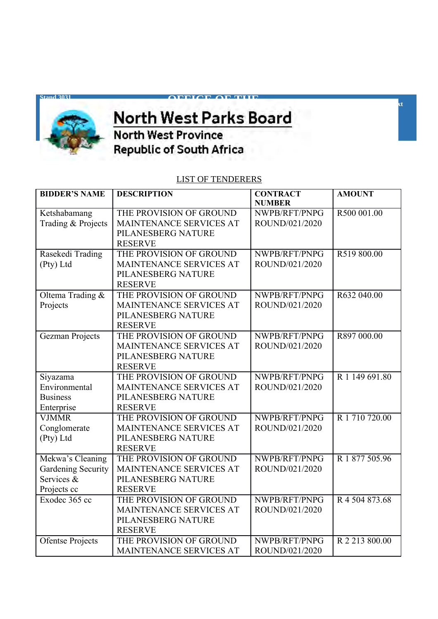

## **Supply Chain Contract Chain Contract Chain Contract Chain Contract Chain Contract Chain Chain Chain Chain Chai** <u>WAS DESCRIPTION OF</u>

**OFFICE OF THE**

**Tel: +27(18)** 397 1500 ext **x** 

**Republic of South Africa** 

## LIST OF TENDERERS

| <b>BIDDER'S NAME</b>   | <b>DESCRIPTION</b>      | <b>CONTRACT</b> | <b>AMOUNT</b>  |
|------------------------|-------------------------|-----------------|----------------|
|                        |                         | <b>NUMBER</b>   |                |
| Ketshabamang           | THE PROVISION OF GROUND | NWPB/RFT/PNPG   | R500 001.00    |
| Trading & Projects     | MAINTENANCE SERVICES AT | ROUND/021/2020  |                |
|                        | PILANESBERG NATURE      |                 |                |
|                        | <b>RESERVE</b>          |                 |                |
| Rasekedi Trading       | THE PROVISION OF GROUND | NWPB/RFT/PNPG   | R519 800.00    |
| (Pty) Ltd              | MAINTENANCE SERVICES AT | ROUND/021/2020  |                |
|                        | PILANESBERG NATURE      |                 |                |
|                        | <b>RESERVE</b>          |                 |                |
| Oltema Trading &       | THE PROVISION OF GROUND | NWPB/RFT/PNPG   | R632 040.00    |
| Projects               | MAINTENANCE SERVICES AT | ROUND/021/2020  |                |
|                        | PILANESBERG NATURE      |                 |                |
|                        | <b>RESERVE</b>          |                 |                |
| <b>Gezman Projects</b> | THE PROVISION OF GROUND | NWPB/RFT/PNPG   | R897 000.00    |
|                        | MAINTENANCE SERVICES AT | ROUND/021/2020  |                |
|                        | PILANESBERG NATURE      |                 |                |
|                        | <b>RESERVE</b>          |                 |                |
| Siyazama               | THE PROVISION OF GROUND | NWPB/RFT/PNPG   | R 1 149 691.80 |
| Environmental          | MAINTENANCE SERVICES AT | ROUND/021/2020  |                |
| <b>Business</b>        | PILANESBERG NATURE      |                 |                |
| Enterprise             | <b>RESERVE</b>          |                 |                |
| <b>VJMMR</b>           | THE PROVISION OF GROUND | NWPB/RFT/PNPG   | R 1 710 720.00 |
| Conglomerate           | MAINTENANCE SERVICES AT | ROUND/021/2020  |                |
| (Pty) Ltd              | PILANESBERG NATURE      |                 |                |
|                        | <b>RESERVE</b>          |                 |                |
| Mekwa's Cleaning       | THE PROVISION OF GROUND | NWPB/RFT/PNPG   | R 1 877 505.96 |
| Gardening Security     | MAINTENANCE SERVICES AT | ROUND/021/2020  |                |
| Services &             | PILANESBERG NATURE      |                 |                |
| Projects cc            | <b>RESERVE</b>          |                 |                |
| Exodec 365 cc          | THE PROVISION OF GROUND | NWPB/RFT/PNPG   | R 4 504 873.68 |
|                        | MAINTENANCE SERVICES AT | ROUND/021/2020  |                |
|                        | PILANESBERG NATURE      |                 |                |
|                        | <b>RESERVE</b>          |                 |                |
| Ofentse Projects       | THE PROVISION OF GROUND | NWPB/RFT/PNPG   | R 2 213 800.00 |
|                        | MAINTENANCE SERVICES AT | ROUND/021/2020  |                |